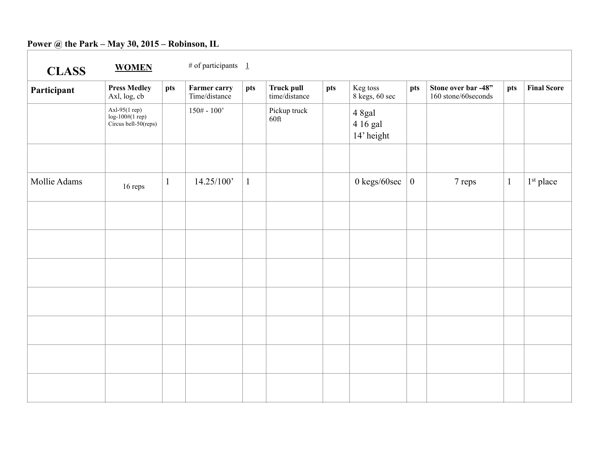## **Power @ the Park – May 30, 2015 – Robinson, IL**

| <b>CLASS</b> | <b>WOMEN</b>                                               |              | # of participants $1$                |              |                                    |     |                                              |          |                                             |              |                       |
|--------------|------------------------------------------------------------|--------------|--------------------------------------|--------------|------------------------------------|-----|----------------------------------------------|----------|---------------------------------------------|--------------|-----------------------|
| Participant  | <b>Press Medley</b><br>Axl, log, cb                        | pts          | <b>Farmer carry</b><br>Time/distance | pts          | <b>Truck pull</b><br>time/distance | pts | Keg toss<br>$8 \text{ keys}, 60 \text{ sec}$ | pts      | Stone over bar -48"<br>160 stone/60 seconds | pts          | <b>Final Score</b>    |
|              | $Axl-95(1 rep)$<br>log-100#(1 rep)<br>Circus bell-50(reps) |              | $150# - 100'$                        |              | Pickup truck<br>60ft               |     | 4 8gal<br>4 16 gal<br>14' height             |          |                                             |              |                       |
|              |                                                            |              |                                      |              |                                    |     |                                              |          |                                             |              |                       |
| Mollie Adams | 16 reps                                                    | $\mathbf{1}$ | 14.25/100'                           | $\mathbf{1}$ |                                    |     | 0 kegs/60sec                                 | $\bf{0}$ | 7 reps                                      | $\mathbf{1}$ | 1 <sup>st</sup> place |
|              |                                                            |              |                                      |              |                                    |     |                                              |          |                                             |              |                       |
|              |                                                            |              |                                      |              |                                    |     |                                              |          |                                             |              |                       |
|              |                                                            |              |                                      |              |                                    |     |                                              |          |                                             |              |                       |
|              |                                                            |              |                                      |              |                                    |     |                                              |          |                                             |              |                       |
|              |                                                            |              |                                      |              |                                    |     |                                              |          |                                             |              |                       |
|              |                                                            |              |                                      |              |                                    |     |                                              |          |                                             |              |                       |
|              |                                                            |              |                                      |              |                                    |     |                                              |          |                                             |              |                       |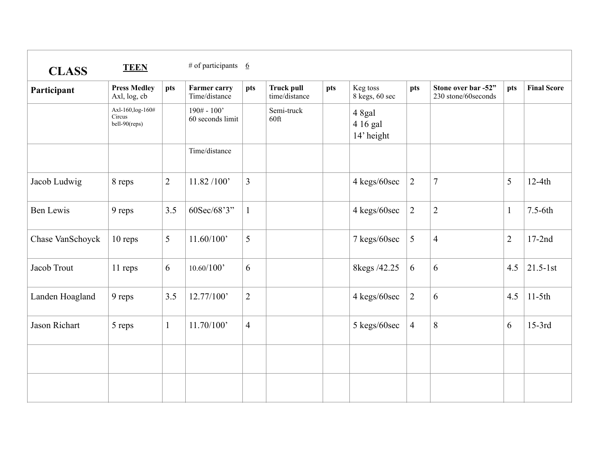| <b>CLASS</b>     | <b>TEEN</b>                                  |                | # of participants $6$                |                |                                    |     |                                  |                |                                             |                |                    |
|------------------|----------------------------------------------|----------------|--------------------------------------|----------------|------------------------------------|-----|----------------------------------|----------------|---------------------------------------------|----------------|--------------------|
| Participant      | <b>Press Medley</b><br>Axl, log, cb          | pts            | <b>Farmer carry</b><br>Time/distance | pts            | <b>Truck pull</b><br>time/distance | pts | Keg toss<br>$8$ kegs, $60$ sec   | pts            | Stone over bar -52"<br>230 stone/60 seconds | pts            | <b>Final Score</b> |
|                  | Axl-160, log-160#<br>Circus<br>bell-90(reps) |                | $190# - 100'$<br>60 seconds limit    |                | Semi-truck<br>60ft                 |     | 4 8gal<br>4 16 gal<br>14' height |                |                                             |                |                    |
|                  |                                              |                | Time/distance                        |                |                                    |     |                                  |                |                                             |                |                    |
| Jacob Ludwig     | 8 reps                                       | $\overline{2}$ | 11.82 / 100'                         | $\overline{3}$ |                                    |     | 4 kegs/60sec                     | $\overline{2}$ | $\overline{7}$                              | 5              | $12-4th$           |
| <b>Ben Lewis</b> | 9 reps                                       | 3.5            | 60Sec/68'3"                          | $\mathbf{1}$   |                                    |     | 4 kegs/60sec                     | $\overline{2}$ | $\overline{2}$                              | $\mathbf{1}$   | $7.5-6th$          |
| Chase VanSchoyck | 10 reps                                      | 5              | 11.60/100'                           | 5              |                                    |     | 7 kegs/60sec                     | 5              | $\overline{4}$                              | $\overline{2}$ | $17-2nd$           |
| Jacob Trout      | 11 reps                                      | 6              | 10.60/100'                           | 6              |                                    |     | 8kegs /42.25                     | 6              | 6                                           | 4.5            | $21.5 - 1st$       |
| Landen Hoagland  | 9 reps                                       | 3.5            | 12.77/100'                           | $\overline{2}$ |                                    |     | 4 kegs/60sec                     | $\overline{2}$ | 6                                           | 4.5            | $11-5th$           |
| Jason Richart    | 5 reps                                       | $\mathbf{1}$   | 11.70/100'                           | $\overline{4}$ |                                    |     | 5 kegs/60sec                     | $\overline{4}$ | 8                                           | 6              | $15-3rd$           |
|                  |                                              |                |                                      |                |                                    |     |                                  |                |                                             |                |                    |
|                  |                                              |                |                                      |                |                                    |     |                                  |                |                                             |                |                    |
|                  |                                              |                |                                      |                |                                    |     |                                  |                |                                             |                |                    |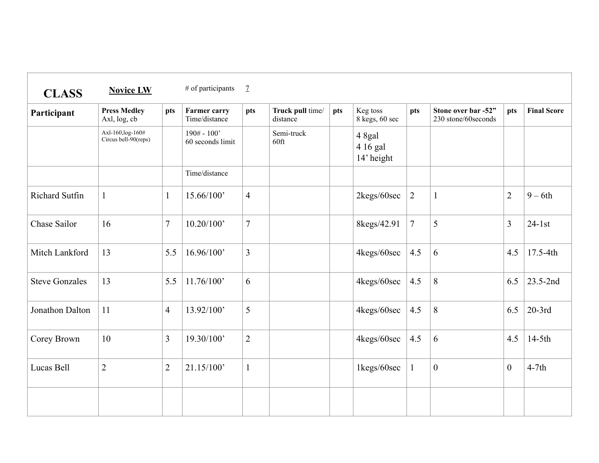| <b>CLASS</b>          | <b>Novice LW</b>                          |                | # of participants                    | $\mathcal{I}$  |                              |     |                                  |                |                                             |                |                    |
|-----------------------|-------------------------------------------|----------------|--------------------------------------|----------------|------------------------------|-----|----------------------------------|----------------|---------------------------------------------|----------------|--------------------|
| Participant           | <b>Press Medley</b><br>Axl, log, cb       | pts            | <b>Farmer carry</b><br>Time/distance | pts            | Truck pull time/<br>distance | pts | Keg toss<br>8 kegs, 60 sec       | pts            | Stone over bar -52"<br>230 stone/60 seconds | pts            | <b>Final Score</b> |
|                       | Axl-160, log-160#<br>Circus bell-90(reps) |                | $190# - 100'$<br>60 seconds limit    |                | Semi-truck<br>$60$ ft        |     | 4 8gal<br>4 16 gal<br>14' height |                |                                             |                |                    |
|                       |                                           |                | Time/distance                        |                |                              |     |                                  |                |                                             |                |                    |
| <b>Richard Sutfin</b> | $\mathbf{1}$                              | $\mathbf{1}$   | 15.66/100'                           | $\overline{4}$ |                              |     | 2kegs/60sec                      | $\overline{2}$ | $\mathbf{1}$                                | $\overline{2}$ | $9-6th$            |
| Chase Sailor          | 16                                        | 7              | 10.20/100'                           | $\overline{7}$ |                              |     | 8kegs/42.91                      | $\overline{7}$ | 5                                           | $\overline{3}$ | $24-1st$           |
| Mitch Lankford        | 13                                        | 5.5            | 16.96/100'                           | $\overline{3}$ |                              |     | 4kegs/60sec                      | 4.5            | 6                                           | 4.5            | 17.5-4th           |
| <b>Steve Gonzales</b> | 13                                        | 5.5            | 11.76/100'                           | 6              |                              |     | 4kegs/60sec                      | 4.5            | $8\,$                                       | 6.5            | 23.5-2nd           |
| Jonathon Dalton       | 11                                        | $\overline{4}$ | 13.92/100'                           | 5              |                              |     | 4kegs/60sec                      | 4.5            | 8                                           | 6.5            | $20-3rd$           |
| Corey Brown           | 10                                        | 3              | 19.30/100'                           | $\overline{2}$ |                              |     | 4kegs/60sec                      | 4.5            | 6                                           | 4.5            | $14-5th$           |
| Lucas Bell            | $\overline{2}$                            | $\overline{2}$ | 21.15/100'                           | $\mathbf{1}$   |                              |     | 1kegs/60sec                      | $\mathbf{1}$   | $\boldsymbol{0}$                            | $\overline{0}$ | $4-7th$            |
|                       |                                           |                |                                      |                |                              |     |                                  |                |                                             |                |                    |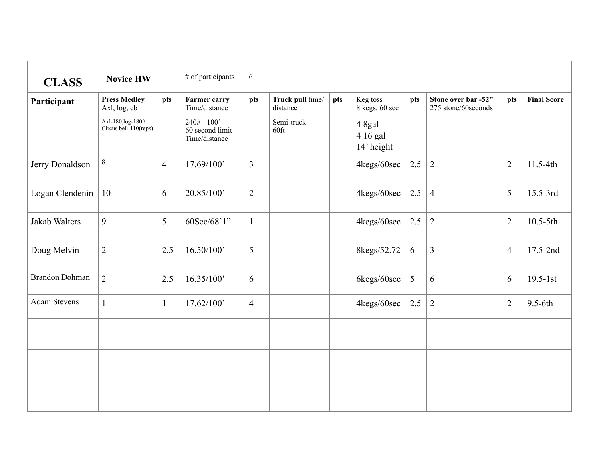| <b>CLASS</b>          | <b>Novice HW</b>                           |                | # of participants                                 | $6 \overline{6}$ |                              |     |                                  |     |                                            |                |                    |
|-----------------------|--------------------------------------------|----------------|---------------------------------------------------|------------------|------------------------------|-----|----------------------------------|-----|--------------------------------------------|----------------|--------------------|
| Participant           | <b>Press Medley</b><br>Axl, log, cb        | pts            | <b>Farmer carry</b><br>Time/distance              | pts              | Truck pull time/<br>distance | pts | Keg toss<br>8 kegs, 60 sec       | pts | Stone over bar -52"<br>275 stone/60seconds | pts            | <b>Final Score</b> |
|                       | Axl-180, log-180#<br>Circus bell-110(reps) |                | $240# - 100'$<br>60 second limit<br>Time/distance |                  | Semi-truck<br>60ft           |     | 4 8gal<br>4 16 gal<br>14' height |     |                                            |                |                    |
| Jerry Donaldson       | $8\,$                                      | $\overline{4}$ | 17.69/100'                                        | $\overline{3}$   |                              |     | 4kegs/60sec                      | 2.5 | $\vert 2 \vert$                            | $\overline{2}$ | 11.5-4th           |
| Logan Clendenin       | 10                                         | 6              | 20.85/100'                                        | $\overline{2}$   |                              |     | 4kegs/60sec                      | 2.5 | $\overline{4}$                             | 5              | 15.5-3rd           |
| Jakab Walters         | 9                                          | 5              | 60Sec/68'1"                                       | $\mathbf{1}$     |                              |     | 4kegs/60sec                      | 2.5 | $\overline{2}$                             | $\overline{2}$ | $10.5 - 5th$       |
| Doug Melvin           | $\overline{2}$                             | 2.5            | 16.50/100'                                        | 5                |                              |     | 8kegs/52.72                      | 6   | 3                                          | $\overline{4}$ | 17.5-2nd           |
| <b>Brandon Dohman</b> | $\overline{2}$                             | 2.5            | 16.35/100'                                        | 6                |                              |     | 6kegs/60sec                      | 5   | 6                                          | 6              | $19.5 - 1st$       |
| <b>Adam Stevens</b>   | $\mathbf{1}$                               | $\mathbf{1}$   | 17.62/100'                                        | $\overline{4}$   |                              |     | 4kegs/60sec                      | 2.5 | $\overline{2}$                             | $\overline{2}$ | $9.5-6th$          |
|                       |                                            |                |                                                   |                  |                              |     |                                  |     |                                            |                |                    |
|                       |                                            |                |                                                   |                  |                              |     |                                  |     |                                            |                |                    |
|                       |                                            |                |                                                   |                  |                              |     |                                  |     |                                            |                |                    |
|                       |                                            |                |                                                   |                  |                              |     |                                  |     |                                            |                |                    |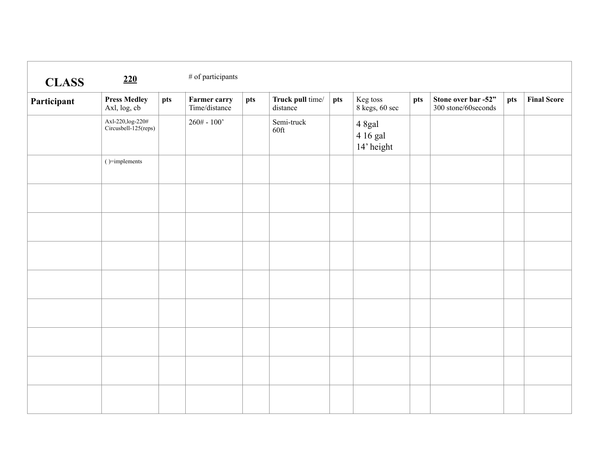| <b>CLASS</b> | 220                                      |     | $\#$ of participants                 |     |                              |     |                                                                                 |     |                                             |     |                    |
|--------------|------------------------------------------|-----|--------------------------------------|-----|------------------------------|-----|---------------------------------------------------------------------------------|-----|---------------------------------------------|-----|--------------------|
| Participant  | <b>Press Medley</b><br>Axl, log, cb      | pts | <b>Farmer carry</b><br>Time/distance | pts | Truck pull time/<br>distance | pts | Keg toss<br>$8$ kegs, $60$ sec                                                  | pts | Stone over bar -52"<br>300 stone/60 seconds | pts | <b>Final Score</b> |
|              | Axl-220,log-220#<br>Circusbell-125(reps) |     | $260# - 100'$                        |     | Semi-truck<br>$60$ ft        |     | $\begin{array}{c} 4 \text{ Sgal} \\ 4 \text{ 16 gal} \end{array}$<br>14' height |     |                                             |     |                    |
|              | $( ) =$ implements                       |     |                                      |     |                              |     |                                                                                 |     |                                             |     |                    |
|              |                                          |     |                                      |     |                              |     |                                                                                 |     |                                             |     |                    |
|              |                                          |     |                                      |     |                              |     |                                                                                 |     |                                             |     |                    |
|              |                                          |     |                                      |     |                              |     |                                                                                 |     |                                             |     |                    |
|              |                                          |     |                                      |     |                              |     |                                                                                 |     |                                             |     |                    |
|              |                                          |     |                                      |     |                              |     |                                                                                 |     |                                             |     |                    |
|              |                                          |     |                                      |     |                              |     |                                                                                 |     |                                             |     |                    |
|              |                                          |     |                                      |     |                              |     |                                                                                 |     |                                             |     |                    |
|              |                                          |     |                                      |     |                              |     |                                                                                 |     |                                             |     |                    |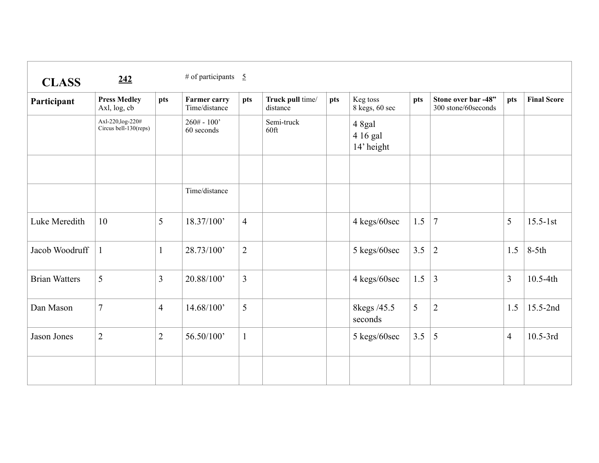| <b>CLASS</b>         | 242                                        |                | # of participants $\overline{5}$     |                |                              |     |                                  |     |                                             |                |                    |
|----------------------|--------------------------------------------|----------------|--------------------------------------|----------------|------------------------------|-----|----------------------------------|-----|---------------------------------------------|----------------|--------------------|
| Participant          | <b>Press Medley</b><br>Axl, log, cb        | pts            | <b>Farmer carry</b><br>Time/distance | pts            | Truck pull time/<br>distance | pts | Keg toss<br>8 kegs, 60 sec       | pts | Stone over bar -48"<br>300 stone/60 seconds | pts            | <b>Final Score</b> |
|                      | Axl-220, log-220#<br>Circus bell-130(reps) |                | $260# - 100'$<br>60 seconds          |                | Semi-truck<br>$60$ ft        |     | 4 8gal<br>4 16 gal<br>14' height |     |                                             |                |                    |
|                      |                                            |                | Time/distance                        |                |                              |     |                                  |     |                                             |                |                    |
| Luke Meredith        | 10                                         | 5              | 18.37/100'                           | $\overline{4}$ |                              |     | 4 kegs/60sec                     | 1.5 | $\overline{7}$                              | 5              | $15.5 - 1st$       |
| Jacob Woodruff       | $\mathbf{1}$                               | $\mathbf{1}$   | 28.73/100'                           | $\overline{2}$ |                              |     | 5 kegs/60sec                     | 3.5 | $\overline{2}$                              | 1.5            | $8-5th$            |
| <b>Brian Watters</b> | 5                                          | 3              | 20.88/100'                           | $\overline{3}$ |                              |     | 4 kegs/60sec                     | 1.5 | $\mathfrak{Z}$                              | $\overline{3}$ | 10.5-4th           |
| Dan Mason            | $\tau$                                     | $\overline{4}$ | 14.68/100'                           | 5              |                              |     | 8kegs /45.5<br>seconds           | 5   | $\overline{2}$                              | 1.5            | 15.5-2nd           |
| Jason Jones          | $\overline{2}$                             | $\overline{2}$ | 56.50/100'                           | $\mathbf{1}$   |                              |     | 5 kegs/60sec                     | 3.5 | 5                                           | $\overline{4}$ | $10.5 - 3rd$       |
|                      |                                            |                |                                      |                |                              |     |                                  |     |                                             |                |                    |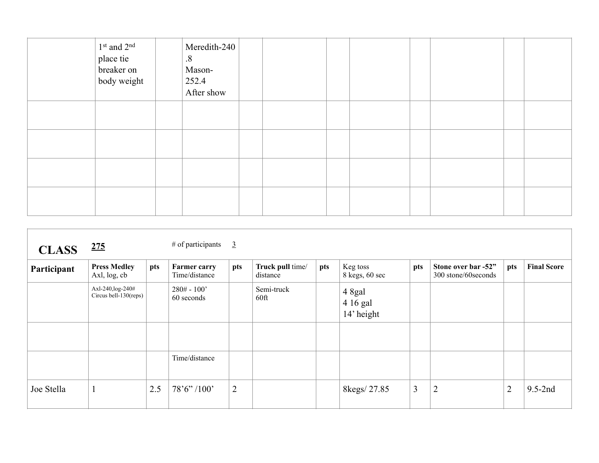| 1st and 2 <sup>nd</sup><br>place tie<br>breaker on<br>body weight | Meredith-240<br>$\boldsymbol{.8}$<br>Mason-<br>252.4<br>After show |  |  |  |  |
|-------------------------------------------------------------------|--------------------------------------------------------------------|--|--|--|--|
|                                                                   |                                                                    |  |  |  |  |
|                                                                   |                                                                    |  |  |  |  |
|                                                                   |                                                                    |  |  |  |  |
|                                                                   |                                                                    |  |  |  |  |

| <b>CLASS</b> | <u>275</u>                                 |     | $#$ of participants                  | $\overline{3}$ |                              |     |                                  |                |                                             |                |                    |
|--------------|--------------------------------------------|-----|--------------------------------------|----------------|------------------------------|-----|----------------------------------|----------------|---------------------------------------------|----------------|--------------------|
| Participant  | <b>Press Medley</b><br>Axl, log, cb        | pts | <b>Farmer carry</b><br>Time/distance | pts            | Truck pull time/<br>distance | pts | Keg toss<br>8 kegs, 60 sec       | pts            | Stone over bar -52"<br>300 stone/60 seconds | pts            | <b>Final Score</b> |
|              | Axl-240, log-240#<br>Circus bell-130(reps) |     | $280# - 100'$<br>60 seconds          |                | Semi-truck<br>60ft           |     | 4 8gal<br>4 16 gal<br>14' height |                |                                             |                |                    |
|              |                                            |     |                                      |                |                              |     |                                  |                |                                             |                |                    |
|              |                                            |     | Time/distance                        |                |                              |     |                                  |                |                                             |                |                    |
| Joe Stella   | $\mathbf{1}$                               | 2.5 | 78'6''/100'                          | $\overline{2}$ |                              |     | 8kegs/27.85                      | $\mathfrak{Z}$ | $\overline{2}$                              | $\overline{2}$ | $9.5-2nd$          |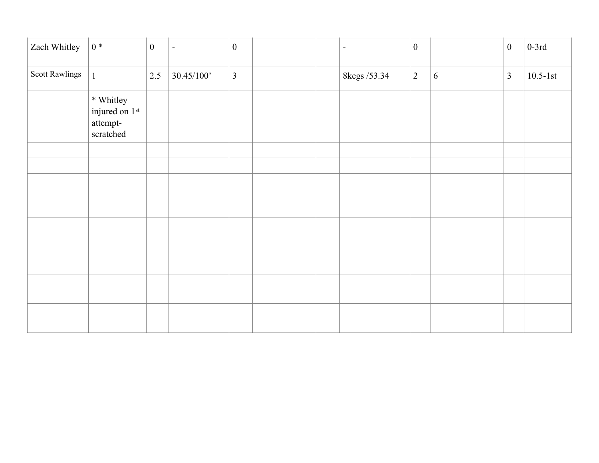| Zach Whitley          | $0 *$                                                | $\boldsymbol{0}$ | $\blacksquare$ | $\boldsymbol{0}$ |  | $\overline{\phantom{a}}$ | $\mathbf{0}$   |   | $\boldsymbol{0}$ | $0-3rd$      |
|-----------------------|------------------------------------------------------|------------------|----------------|------------------|--|--------------------------|----------------|---|------------------|--------------|
| <b>Scott Rawlings</b> | $\mathbf{1}$                                         | 2.5              | 30.45/100'     | $\mathfrak{Z}$   |  | 8kegs /53.34             | $\overline{2}$ | 6 | $\overline{3}$   | $10.5 - 1st$ |
|                       | * Whitley<br>injured on 1st<br>attempt-<br>scratched |                  |                |                  |  |                          |                |   |                  |              |
|                       |                                                      |                  |                |                  |  |                          |                |   |                  |              |
|                       |                                                      |                  |                |                  |  |                          |                |   |                  |              |
|                       |                                                      |                  |                |                  |  |                          |                |   |                  |              |
|                       |                                                      |                  |                |                  |  |                          |                |   |                  |              |
|                       |                                                      |                  |                |                  |  |                          |                |   |                  |              |
|                       |                                                      |                  |                |                  |  |                          |                |   |                  |              |
|                       |                                                      |                  |                |                  |  |                          |                |   |                  |              |
|                       |                                                      |                  |                |                  |  |                          |                |   |                  |              |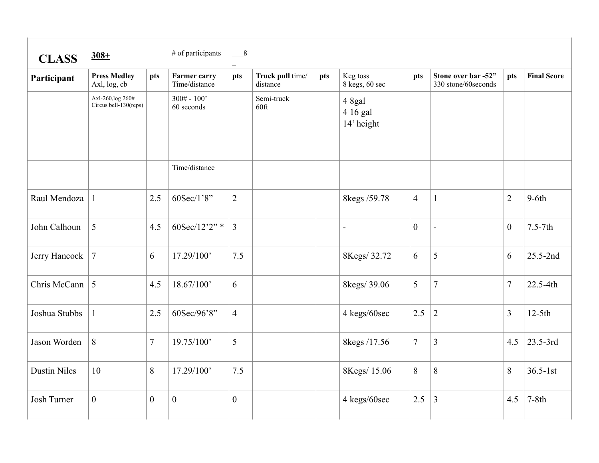| <b>CLASS</b>        | $308 +$                                    |                | # of participants                    | $^{\circ}$     |                              |     |                                  |                |                                             |                |                    |
|---------------------|--------------------------------------------|----------------|--------------------------------------|----------------|------------------------------|-----|----------------------------------|----------------|---------------------------------------------|----------------|--------------------|
| Participant         | <b>Press Medley</b><br>Axl, log, cb        | pts            | <b>Farmer carry</b><br>Time/distance | pts            | Truck pull time/<br>distance | pts | Keg toss<br>8 kegs, 60 sec       | pts            | Stone over bar -52"<br>330 stone/60 seconds | pts            | <b>Final Score</b> |
|                     | Axl-260, log 260#<br>Circus bell-130(reps) |                | $300# - 100'$<br>60 seconds          |                | Semi-truck<br>60ft           |     | 4 8gal<br>4 16 gal<br>14' height |                |                                             |                |                    |
|                     |                                            |                | Time/distance                        |                |                              |     |                                  |                |                                             |                |                    |
|                     |                                            |                |                                      |                |                              |     |                                  |                |                                             |                |                    |
| Raul Mendoza        | $\mathbf{1}$                               | 2.5            | 60Sec/1'8"                           | $\overline{2}$ |                              |     | 8kegs /59.78                     | $\overline{4}$ | $\mathbf{1}$                                | $\overline{2}$ | $9-6th$            |
| John Calhoun        | 5                                          | 4.5            | 60Sec/12'2"*                         | $\overline{3}$ |                              |     | $\overline{a}$                   | $\overline{0}$ |                                             | $\overline{0}$ | $7.5-7th$          |
| Jerry Hancock       | $\overline{7}$                             | 6              | 17.29/100'                           | 7.5            |                              |     | 8Kegs/32.72                      | 6              | 5                                           | 6              | 25.5-2nd           |
| Chris McCann        | 5                                          | 4.5            | 18.67/100'                           | 6              |                              |     | 8kegs/39.06                      | 5              | $\overline{7}$                              | $\tau$         | 22.5-4th           |
| Joshua Stubbs       | $\mathbf{1}$                               | 2.5            | 60Sec/96'8"                          | $\overline{4}$ |                              |     | 4 kegs/60sec                     | 2.5            | $\overline{2}$                              | $\overline{3}$ | $12-5th$           |
| Jason Worden        | 8                                          | 7              | 19.75/100'                           | 5              |                              |     | 8kegs /17.56                     | $\overline{7}$ | $\mathfrak{Z}$                              | 4.5            | 23.5-3rd           |
| <b>Dustin Niles</b> | 10                                         | 8              | 17.29/100'                           | 7.5            |                              |     | 8Kegs/15.06                      | 8              | 8                                           | 8              | $36.5 - 1st$       |
| <b>Josh Turner</b>  | $\overline{0}$                             | $\overline{0}$ | $\boldsymbol{0}$                     | $\overline{0}$ |                              |     | 4 kegs/60sec                     | 2.5            | $\overline{3}$                              | 4.5            | $7-8th$            |